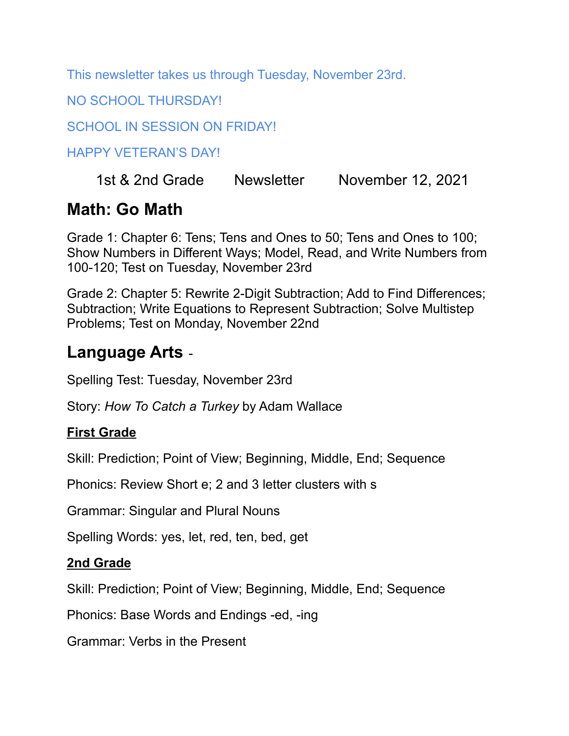This newsletter takes us through Tuesday, November 23rd.

NO SCHOOL THURSDAY!

SCHOOL IN SESSION ON FRIDAY!

HAPPY VETERAN'S DAY!

#### 1st & 2nd Grade Newsletter November 12, 2021

### **Math: Go Math**

Grade 1: Chapter 6: Tens; Tens and Ones to 50; Tens and Ones to 100; Show Numbers in Different Ways; Model, Read, and Write Numbers from 100-120; Test on Tuesday, November 23rd

Grade 2: Chapter 5: Rewrite 2-Digit Subtraction; Add to Find Differences; Subtraction; Write Equations to Represent Subtraction; Solve Multistep Problems; Test on Monday, November 22nd

### **Language Arts** -

Spelling Test: Tuesday, November 23rd

Story: *How To Catch a Turkey* by Adam Wallace

#### **First Grade**

Skill: Prediction; Point of View; Beginning, Middle, End; Sequence

Phonics: Review Short e; 2 and 3 letter clusters with s

Grammar: Singular and Plural Nouns

Spelling Words: yes, let, red, ten, bed, get

#### **2nd Grade**

Skill: Prediction; Point of View; Beginning, Middle, End; Sequence

Phonics: Base Words and Endings -ed, -ing

Grammar: Verbs in the Present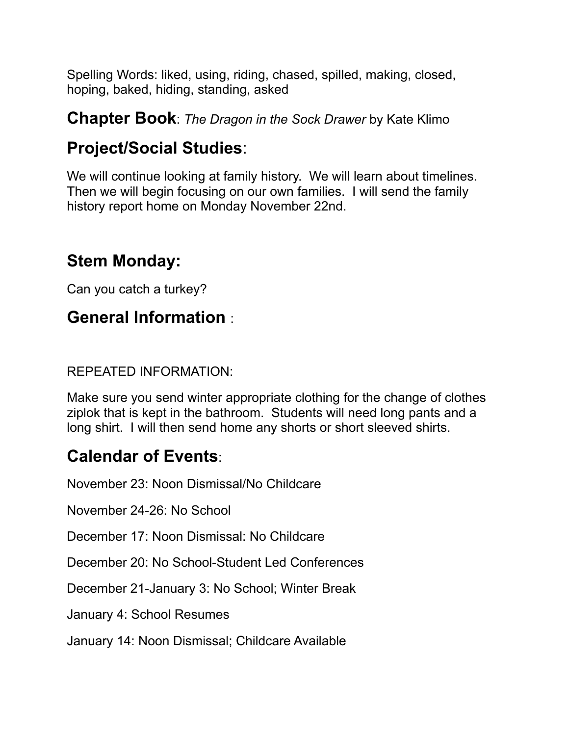Spelling Words: liked, using, riding, chased, spilled, making, closed, hoping, baked, hiding, standing, asked

#### **Chapter Book**: *The Dragon in the Sock Drawer* by Kate Klimo

## **Project/Social Studies**:

We will continue looking at family history. We will learn about timelines. Then we will begin focusing on our own families. I will send the family history report home on Monday November 22nd.

## **Stem Monday:**

Can you catch a turkey?

## **General Information** :

#### REPEATED INFORMATION:

Make sure you send winter appropriate clothing for the change of clothes ziplok that is kept in the bathroom. Students will need long pants and a long shirt. I will then send home any shorts or short sleeved shirts.

# **Calendar of Events**:

November 23: Noon Dismissal/No Childcare

November 24-26: No School

December 17: Noon Dismissal: No Childcare

December 20: No School-Student Led Conferences

December 21-January 3: No School; Winter Break

January 4: School Resumes

January 14: Noon Dismissal; Childcare Available